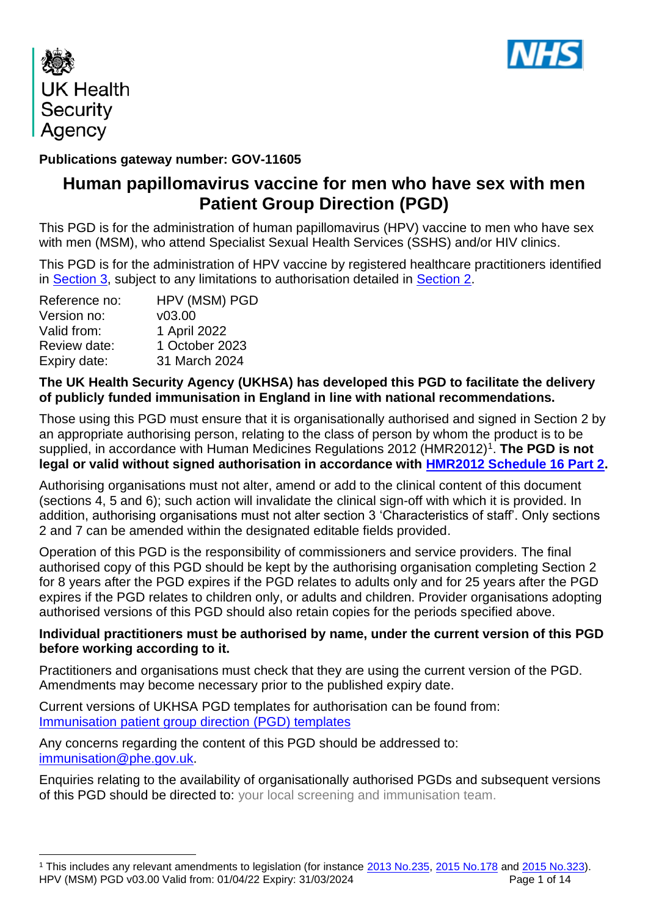



## **Publications gateway number: GOV-11605**

# **Human papillomavirus vaccine for men who have sex with men Patient Group Direction (PGD)**

This PGD is for the administration of human papillomavirus (HPV) vaccine to men who have sex with men (MSM), who attend Specialist Sexual Health Services (SSHS) and/or HIV clinics.

This PGD is for the administration of HPV vaccine by registered healthcare practitioners identified in [Section 3,](#page-4-0) subject to any limitations to authorisation detailed in [Section 2.](#page-2-0)

| HPV (MSM) PGD  |
|----------------|
| V03.00         |
| 1 April 2022   |
| 1 October 2023 |
| 31 March 2024  |
|                |

### **The UK Health Security Agency (UKHSA) has developed this PGD to facilitate the delivery of publicly funded immunisation in England in line with national recommendations.**

Those using this PGD must ensure that it is organisationally authorised and signed in Section 2 by an appropriate authorising person, relating to the class of person by whom the product is to be supplied, in accordance with Human Medicines Regulations 2012 (HMR2012)<sup>1</sup>. The PGD is not **legal or valid without signed authorisation in accordance with [HMR2012 Schedule 16 Part 2.](http://www.legislation.gov.uk/uksi/2012/1916/schedule/16/part/2/made)** 

Authorising organisations must not alter, amend or add to the clinical content of this document (sections 4, 5 and 6); such action will invalidate the clinical sign-off with which it is provided. In addition, authorising organisations must not alter section 3 'Characteristics of staff'. Only sections 2 and 7 can be amended within the designated editable fields provided.

Operation of this PGD is the responsibility of commissioners and service providers. The final authorised copy of this PGD should be kept by the authorising organisation completing Section 2 for 8 years after the PGD expires if the PGD relates to adults only and for 25 years after the PGD expires if the PGD relates to children only, or adults and children. Provider organisations adopting authorised versions of this PGD should also retain copies for the periods specified above.

### **Individual practitioners must be authorised by name, under the current version of this PGD before working according to it.**

Practitioners and organisations must check that they are using the current version of the PGD. Amendments may become necessary prior to the published expiry date.

Current versions of UKHSA PGD templates for authorisation can be found from: [Immunisation patient](https://www.gov.uk/government/collections/immunisation-patient-group-direction-pgd) group direction (PGD) templates

Any concerns regarding the content of this PGD should be addressed to: [immunisation@phe.gov.uk.](mailto:immunisation@phe.gov.uk)

Enquiries relating to the availability of organisationally authorised PGDs and subsequent versions of this PGD should be directed to: your local screening and immunisation team.

HPV (MSM) PGD v03.00 Valid from: 01/04/22 Expiry: 31/03/2024 Page 1 of 14 <sup>1</sup> This includes any relevant amendments to legislation (for instance [2013 No.235,](http://www.legislation.gov.uk/uksi/2013/235/contents/made) [2015 No.178](http://www.legislation.gov.uk/nisr/2015/178/contents/made) and [2015 No.323\)](http://www.legislation.gov.uk/uksi/2015/323/contents/made).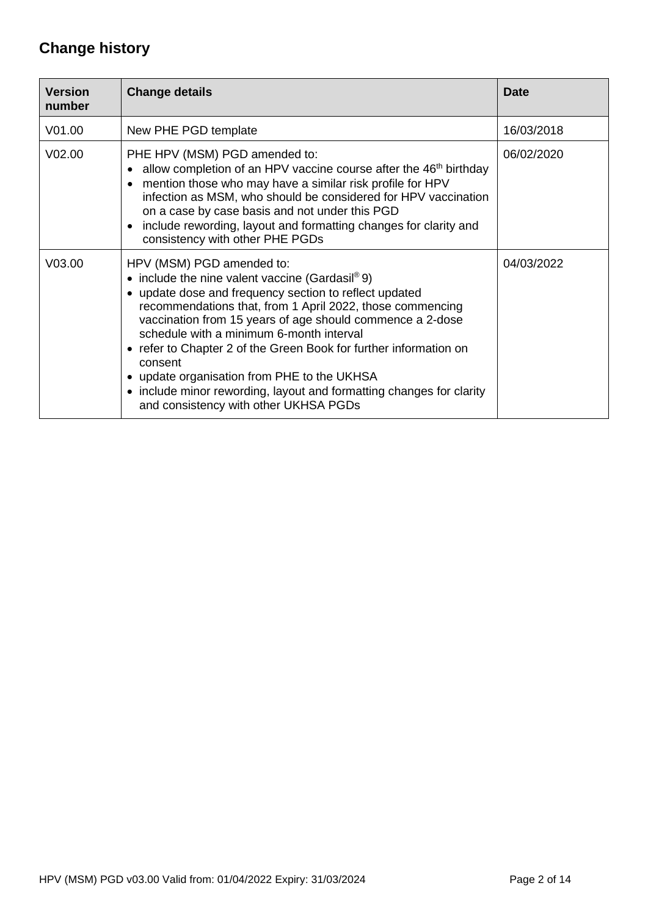# **Change history**

| <b>Version</b><br>number | <b>Change details</b>                                                                                                                                                                                                                                                                                                                                                                                                                                                                                                                                        | <b>Date</b> |
|--------------------------|--------------------------------------------------------------------------------------------------------------------------------------------------------------------------------------------------------------------------------------------------------------------------------------------------------------------------------------------------------------------------------------------------------------------------------------------------------------------------------------------------------------------------------------------------------------|-------------|
| V <sub>01.00</sub>       | New PHE PGD template                                                                                                                                                                                                                                                                                                                                                                                                                                                                                                                                         | 16/03/2018  |
| V <sub>02.00</sub>       | PHE HPV (MSM) PGD amended to:<br>• allow completion of an HPV vaccine course after the $46th$ birthday<br>mention those who may have a similar risk profile for HPV<br>$\bullet$<br>infection as MSM, who should be considered for HPV vaccination<br>on a case by case basis and not under this PGD<br>• include rewording, layout and formatting changes for clarity and<br>consistency with other PHE PGDs                                                                                                                                                | 06/02/2020  |
| V03.00                   | HPV (MSM) PGD amended to:<br>• include the nine valent vaccine (Gardasil® 9)<br>• update dose and frequency section to reflect updated<br>recommendations that, from 1 April 2022, those commencing<br>vaccination from 15 years of age should commence a 2-dose<br>schedule with a minimum 6-month interval<br>• refer to Chapter 2 of the Green Book for further information on<br>consent<br>• update organisation from PHE to the UKHSA<br>• include minor rewording, layout and formatting changes for clarity<br>and consistency with other UKHSA PGDs | 04/03/2022  |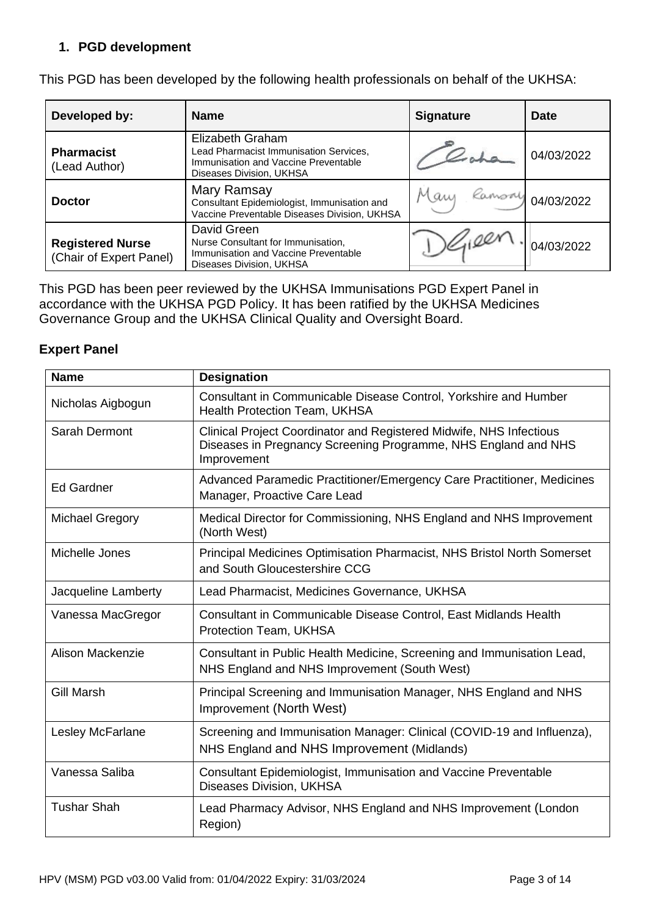### **1. PGD development**

| Developed by:                                      | <b>Name</b>                                                                                                                    | <b>Signature</b> | <b>Date</b>       |
|----------------------------------------------------|--------------------------------------------------------------------------------------------------------------------------------|------------------|-------------------|
| <b>Pharmacist</b><br>(Lead Author)                 | Elizabeth Graham<br>Lead Pharmacist Immunisation Services,<br>Immunisation and Vaccine Preventable<br>Diseases Division, UKHSA |                  | 04/03/2022        |
| <b>Doctor</b>                                      | Mary Ramsay<br>Consultant Epidemiologist, Immunisation and<br>Vaccine Preventable Diseases Division, UKHSA                     | Maw              | Ramony 04/03/2022 |
| <b>Registered Nurse</b><br>(Chair of Expert Panel) | David Green<br>Nurse Consultant for Immunisation,<br>Immunisation and Vaccine Preventable<br>Diseases Division, UKHSA          | 1/100r           | 04/03/2022        |

This PGD has been developed by the following health professionals on behalf of the UKHSA:

This PGD has been peer reviewed by the UKHSA Immunisations PGD Expert Panel in accordance with the UKHSA PGD Policy. It has been ratified by the UKHSA Medicines Governance Group and the UKHSA Clinical Quality and Oversight Board.

#### **Expert Panel**

<span id="page-2-0"></span>

| <b>Name</b>            | <b>Designation</b>                                                                                                                                   |
|------------------------|------------------------------------------------------------------------------------------------------------------------------------------------------|
| Nicholas Aigbogun      | Consultant in Communicable Disease Control, Yorkshire and Humber<br><b>Health Protection Team, UKHSA</b>                                             |
| Sarah Dermont          | Clinical Project Coordinator and Registered Midwife, NHS Infectious<br>Diseases in Pregnancy Screening Programme, NHS England and NHS<br>Improvement |
| <b>Ed Gardner</b>      | Advanced Paramedic Practitioner/Emergency Care Practitioner, Medicines<br>Manager, Proactive Care Lead                                               |
| <b>Michael Gregory</b> | Medical Director for Commissioning, NHS England and NHS Improvement<br>(North West)                                                                  |
| Michelle Jones         | Principal Medicines Optimisation Pharmacist, NHS Bristol North Somerset<br>and South Gloucestershire CCG                                             |
| Jacqueline Lamberty    | Lead Pharmacist, Medicines Governance, UKHSA                                                                                                         |
| Vanessa MacGregor      | Consultant in Communicable Disease Control, East Midlands Health<br>Protection Team, UKHSA                                                           |
| Alison Mackenzie       | Consultant in Public Health Medicine, Screening and Immunisation Lead,<br>NHS England and NHS Improvement (South West)                               |
| <b>Gill Marsh</b>      | Principal Screening and Immunisation Manager, NHS England and NHS<br>Improvement (North West)                                                        |
| Lesley McFarlane       | Screening and Immunisation Manager: Clinical (COVID-19 and Influenza),<br>NHS England and NHS Improvement (Midlands)                                 |
| Vanessa Saliba         | Consultant Epidemiologist, Immunisation and Vaccine Preventable<br>Diseases Division, UKHSA                                                          |
| <b>Tushar Shah</b>     | Lead Pharmacy Advisor, NHS England and NHS Improvement (London<br>Region)                                                                            |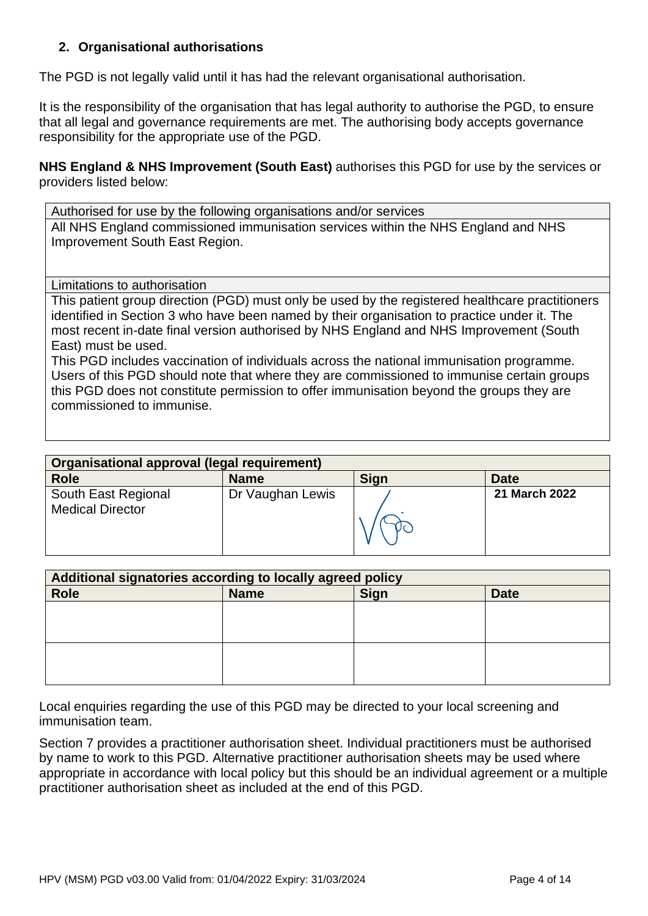### **2. Organisational authorisations**

The PGD is not legally valid until it has had the relevant organisational authorisation.

It is the responsibility of the organisation that has legal authority to authorise the PGD, to ensure that all legal and governance requirements are met. The authorising body accepts governance responsibility for the appropriate use of the PGD.

**NHS England & NHS Improvement (South East)** authorises this PGD for use by the services or providers listed below:

Authorised for use by the following organisations and/or services All NHS England commissioned immunisation services within the NHS England and NHS Improvement South East Region.

<span id="page-3-0"></span>Limitations to authorisation

This patient group direction (PGD) must only be used by the registered healthcare practitioners identified in Section 3 who have been named by their organisation to practice under it. The most recent in-date final version authorised by NHS England and NHS Improvement (South East) must be used.

This PGD includes vaccination of individuals across the national immunisation programme. Users of this PGD should note that where they are commissioned to immunise certain groups this PGD does not constitute permission to offer immunisation beyond the groups they are commissioned to immunise.

| Organisational approval (legal requirement)    |                  |             |                      |
|------------------------------------------------|------------------|-------------|----------------------|
| <b>Role</b>                                    | <b>Name</b>      | <b>Sign</b> | <b>Date</b>          |
| South East Regional<br><b>Medical Director</b> | Dr Vaughan Lewis |             | <b>21 March 2022</b> |

| Additional signatories according to locally agreed policy |             |      |             |
|-----------------------------------------------------------|-------------|------|-------------|
| <b>Role</b>                                               | <b>Name</b> | Sign | <b>Date</b> |
|                                                           |             |      |             |
|                                                           |             |      |             |
|                                                           |             |      |             |
|                                                           |             |      |             |
|                                                           |             |      |             |
|                                                           |             |      |             |

Local enquiries regarding the use of this PGD may be directed to your local screening and immunisation team.

Section 7 provides a practitioner authorisation sheet. Individual practitioners must be authorised by name to work to this PGD. Alternative practitioner authorisation sheets may be used where appropriate in accordance with local policy but this should be an individual agreement or a multiple practitioner authorisation sheet as included at the end of this PGD.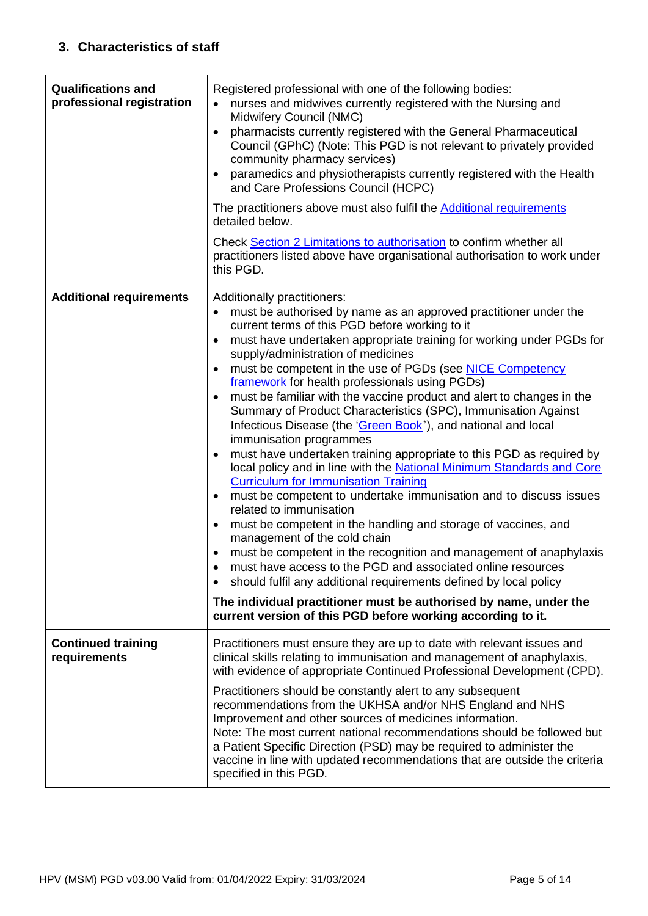<span id="page-4-1"></span><span id="page-4-0"></span>

| <b>Qualifications and</b><br>professional registration | Registered professional with one of the following bodies:<br>nurses and midwives currently registered with the Nursing and<br>Midwifery Council (NMC)<br>pharmacists currently registered with the General Pharmaceutical<br>$\bullet$<br>Council (GPhC) (Note: This PGD is not relevant to privately provided<br>community pharmacy services)<br>paramedics and physiotherapists currently registered with the Health<br>$\bullet$<br>and Care Professions Council (HCPC)<br>The practitioners above must also fulfil the <b>Additional requirements</b><br>detailed below.<br>Check Section 2 Limitations to authorisation to confirm whether all<br>practitioners listed above have organisational authorisation to work under<br>this PGD.                                                                                                                                                                                                                                                                                                                                                                                                                                                                                                                                                                                                                                                                                                                   |
|--------------------------------------------------------|------------------------------------------------------------------------------------------------------------------------------------------------------------------------------------------------------------------------------------------------------------------------------------------------------------------------------------------------------------------------------------------------------------------------------------------------------------------------------------------------------------------------------------------------------------------------------------------------------------------------------------------------------------------------------------------------------------------------------------------------------------------------------------------------------------------------------------------------------------------------------------------------------------------------------------------------------------------------------------------------------------------------------------------------------------------------------------------------------------------------------------------------------------------------------------------------------------------------------------------------------------------------------------------------------------------------------------------------------------------------------------------------------------------------------------------------------------------|
| <b>Additional requirements</b>                         | Additionally practitioners:<br>must be authorised by name as an approved practitioner under the<br>$\bullet$<br>current terms of this PGD before working to it<br>must have undertaken appropriate training for working under PGDs for<br>$\bullet$<br>supply/administration of medicines<br>must be competent in the use of PGDs (see NICE Competency<br>$\bullet$<br>framework for health professionals using PGDs)<br>must be familiar with the vaccine product and alert to changes in the<br>$\bullet$<br>Summary of Product Characteristics (SPC), Immunisation Against<br>Infectious Disease (the 'Green Book'), and national and local<br>immunisation programmes<br>must have undertaken training appropriate to this PGD as required by<br>local policy and in line with the National Minimum Standards and Core<br><b>Curriculum for Immunisation Training</b><br>must be competent to undertake immunisation and to discuss issues<br>$\bullet$<br>related to immunisation<br>must be competent in the handling and storage of vaccines, and<br>$\bullet$<br>management of the cold chain<br>must be competent in the recognition and management of anaphylaxis<br>must have access to the PGD and associated online resources<br>should fulfil any additional requirements defined by local policy<br>$\bullet$<br>The individual practitioner must be authorised by name, under the<br>current version of this PGD before working according to it. |
| <b>Continued training</b>                              | Practitioners must ensure they are up to date with relevant issues and                                                                                                                                                                                                                                                                                                                                                                                                                                                                                                                                                                                                                                                                                                                                                                                                                                                                                                                                                                                                                                                                                                                                                                                                                                                                                                                                                                                           |
| requirements                                           | clinical skills relating to immunisation and management of anaphylaxis,<br>with evidence of appropriate Continued Professional Development (CPD).                                                                                                                                                                                                                                                                                                                                                                                                                                                                                                                                                                                                                                                                                                                                                                                                                                                                                                                                                                                                                                                                                                                                                                                                                                                                                                                |
|                                                        | Practitioners should be constantly alert to any subsequent<br>recommendations from the UKHSA and/or NHS England and NHS<br>Improvement and other sources of medicines information.<br>Note: The most current national recommendations should be followed but<br>a Patient Specific Direction (PSD) may be required to administer the<br>vaccine in line with updated recommendations that are outside the criteria<br>specified in this PGD.                                                                                                                                                                                                                                                                                                                                                                                                                                                                                                                                                                                                                                                                                                                                                                                                                                                                                                                                                                                                                     |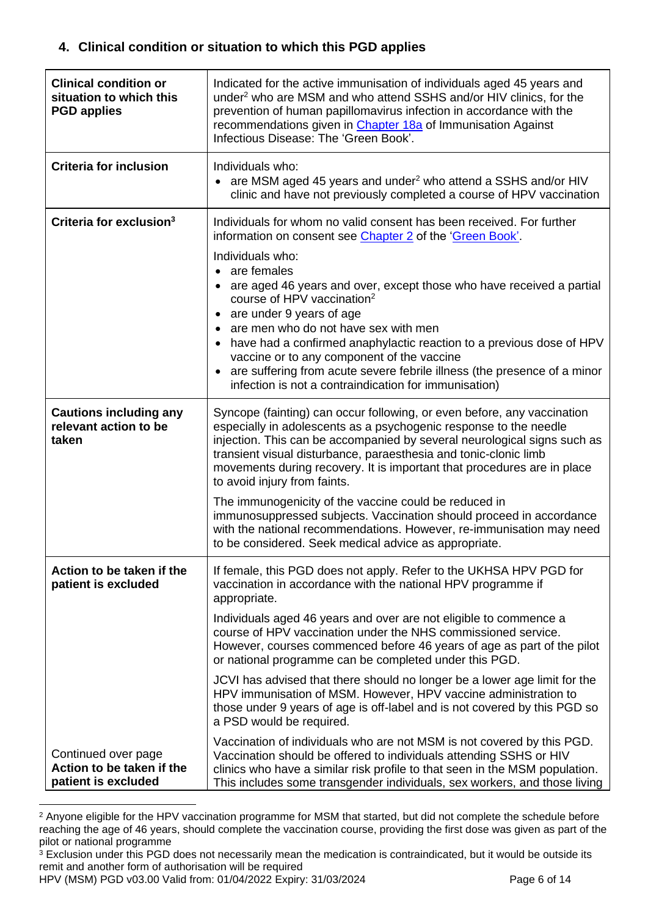### <span id="page-5-0"></span>**4. Clinical condition or situation to which this PGD applies**

| <b>Clinical condition or</b><br>situation to which this<br><b>PGD applies</b> | Indicated for the active immunisation of individuals aged 45 years and<br>under <sup>2</sup> who are MSM and who attend SSHS and/or HIV clinics, for the<br>prevention of human papillomavirus infection in accordance with the<br>recommendations given in Chapter 18a of Immunisation Against<br>Infectious Disease: The 'Green Book'.                                                                                                                                                                                                                                                                                                                                                                                                                        |
|-------------------------------------------------------------------------------|-----------------------------------------------------------------------------------------------------------------------------------------------------------------------------------------------------------------------------------------------------------------------------------------------------------------------------------------------------------------------------------------------------------------------------------------------------------------------------------------------------------------------------------------------------------------------------------------------------------------------------------------------------------------------------------------------------------------------------------------------------------------|
| <b>Criteria for inclusion</b>                                                 | Individuals who:<br>• are MSM aged 45 years and under <sup>2</sup> who attend a SSHS and/or HIV<br>clinic and have not previously completed a course of HPV vaccination                                                                                                                                                                                                                                                                                                                                                                                                                                                                                                                                                                                         |
| Criteria for exclusion <sup>3</sup>                                           | Individuals for whom no valid consent has been received. For further<br>information on consent see Chapter 2 of the 'Green Book'.<br>Individuals who:<br>• are females<br>are aged 46 years and over, except those who have received a partial<br>course of HPV vaccination <sup>2</sup><br>are under 9 years of age<br>are men who do not have sex with men<br>• have had a confirmed anaphylactic reaction to a previous dose of HPV<br>vaccine or to any component of the vaccine<br>are suffering from acute severe febrile illness (the presence of a minor<br>infection is not a contraindication for immunisation)                                                                                                                                       |
| <b>Cautions including any</b><br>relevant action to be<br>taken               | Syncope (fainting) can occur following, or even before, any vaccination<br>especially in adolescents as a psychogenic response to the needle<br>injection. This can be accompanied by several neurological signs such as<br>transient visual disturbance, paraesthesia and tonic-clonic limb<br>movements during recovery. It is important that procedures are in place<br>to avoid injury from faints.<br>The immunogenicity of the vaccine could be reduced in<br>immunosuppressed subjects. Vaccination should proceed in accordance<br>with the national recommendations. However, re-immunisation may need<br>to be considered. Seek medical advice as appropriate.                                                                                        |
| Action to be taken if the<br>patient is excluded                              | If female, this PGD does not apply. Refer to the UKHSA HPV PGD for<br>vaccination in accordance with the national HPV programme if<br>appropriate.<br>Individuals aged 46 years and over are not eligible to commence a<br>course of HPV vaccination under the NHS commissioned service.<br>However, courses commenced before 46 years of age as part of the pilot<br>or national programme can be completed under this PGD.<br>JCVI has advised that there should no longer be a lower age limit for the<br>HPV immunisation of MSM. However, HPV vaccine administration to<br>those under 9 years of age is off-label and is not covered by this PGD so<br>a PSD would be required.<br>Vaccination of individuals who are not MSM is not covered by this PGD. |
| Continued over page<br>Action to be taken if the<br>patient is excluded       | Vaccination should be offered to individuals attending SSHS or HIV<br>clinics who have a similar risk profile to that seen in the MSM population.<br>This includes some transgender individuals, sex workers, and those living                                                                                                                                                                                                                                                                                                                                                                                                                                                                                                                                  |

<sup>&</sup>lt;sup>2</sup> Anyone eligible for the HPV vaccination programme for MSM that started, but did not complete the schedule before reaching the age of 46 years, should complete the vaccination course, providing the first dose was given as part of the pilot or national programme

HPV (MSM) PGD v03.00 Valid from: 01/04/2022 Expiry: 31/03/2024 Page 6 of 14

<sup>&</sup>lt;sup>3</sup> Exclusion under this PGD does not necessarily mean the medication is contraindicated, but it would be outside its remit and another form of authorisation will be required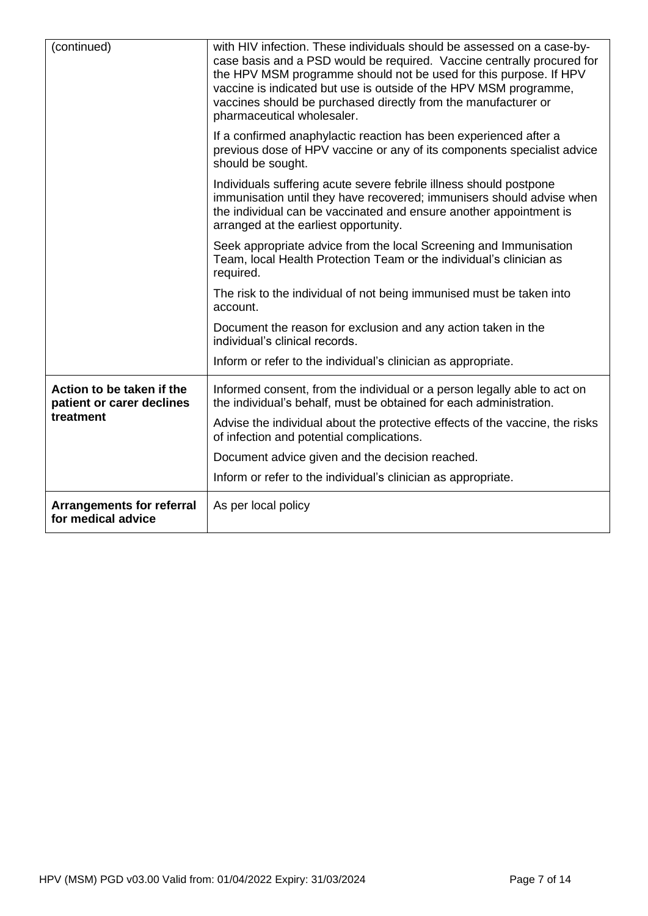| (continued)                                            | with HIV infection. These individuals should be assessed on a case-by-<br>case basis and a PSD would be required. Vaccine centrally procured for<br>the HPV MSM programme should not be used for this purpose. If HPV<br>vaccine is indicated but use is outside of the HPV MSM programme,<br>vaccines should be purchased directly from the manufacturer or<br>pharmaceutical wholesaler. |
|--------------------------------------------------------|--------------------------------------------------------------------------------------------------------------------------------------------------------------------------------------------------------------------------------------------------------------------------------------------------------------------------------------------------------------------------------------------|
|                                                        | If a confirmed anaphylactic reaction has been experienced after a<br>previous dose of HPV vaccine or any of its components specialist advice<br>should be sought.                                                                                                                                                                                                                          |
|                                                        | Individuals suffering acute severe febrile illness should postpone<br>immunisation until they have recovered; immunisers should advise when<br>the individual can be vaccinated and ensure another appointment is<br>arranged at the earliest opportunity.                                                                                                                                 |
|                                                        | Seek appropriate advice from the local Screening and Immunisation<br>Team, local Health Protection Team or the individual's clinician as<br>required.                                                                                                                                                                                                                                      |
|                                                        | The risk to the individual of not being immunised must be taken into<br>account.                                                                                                                                                                                                                                                                                                           |
|                                                        | Document the reason for exclusion and any action taken in the<br>individual's clinical records.                                                                                                                                                                                                                                                                                            |
|                                                        | Inform or refer to the individual's clinician as appropriate.                                                                                                                                                                                                                                                                                                                              |
| Action to be taken if the<br>patient or carer declines | Informed consent, from the individual or a person legally able to act on<br>the individual's behalf, must be obtained for each administration.                                                                                                                                                                                                                                             |
| treatment                                              | Advise the individual about the protective effects of the vaccine, the risks<br>of infection and potential complications.                                                                                                                                                                                                                                                                  |
|                                                        | Document advice given and the decision reached.                                                                                                                                                                                                                                                                                                                                            |
|                                                        | Inform or refer to the individual's clinician as appropriate.                                                                                                                                                                                                                                                                                                                              |
| <b>Arrangements for referral</b><br>for medical advice | As per local policy                                                                                                                                                                                                                                                                                                                                                                        |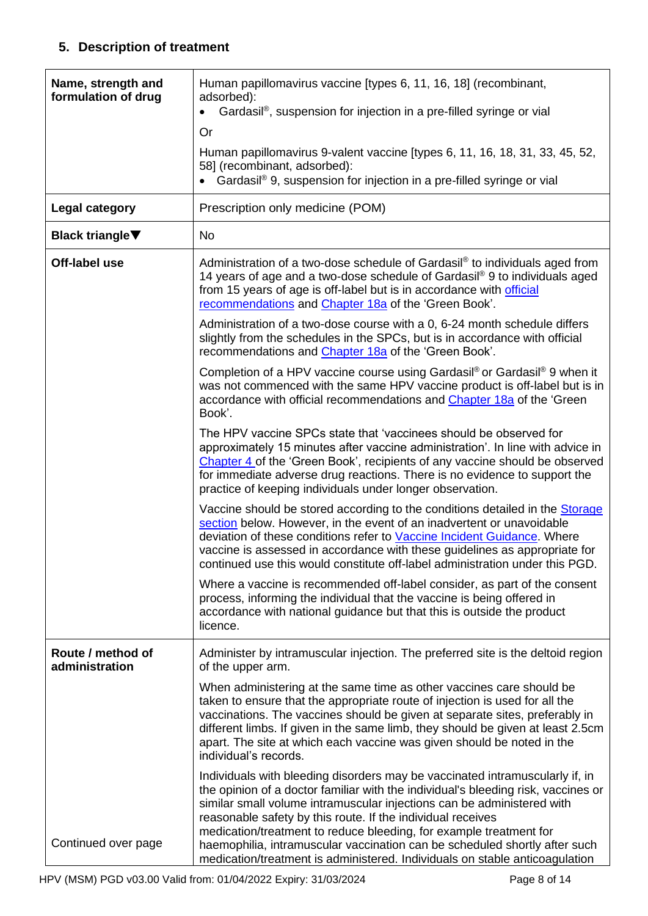## **5. Description of treatment**

| Name, strength and<br>formulation of drug | Human papillomavirus vaccine [types 6, 11, 16, 18] (recombinant,<br>adsorbed):<br>Gardasil®, suspension for injection in a pre-filled syringe or vial                                                                                                                                                                                                                                                                                                                                                                                         |
|-------------------------------------------|-----------------------------------------------------------------------------------------------------------------------------------------------------------------------------------------------------------------------------------------------------------------------------------------------------------------------------------------------------------------------------------------------------------------------------------------------------------------------------------------------------------------------------------------------|
|                                           | <b>Or</b>                                                                                                                                                                                                                                                                                                                                                                                                                                                                                                                                     |
|                                           | Human papillomavirus 9-valent vaccine [types 6, 11, 16, 18, 31, 33, 45, 52,<br>58] (recombinant, adsorbed):<br>Gardasil® 9, suspension for injection in a pre-filled syringe or vial                                                                                                                                                                                                                                                                                                                                                          |
|                                           |                                                                                                                                                                                                                                                                                                                                                                                                                                                                                                                                               |
| Legal category                            | Prescription only medicine (POM)                                                                                                                                                                                                                                                                                                                                                                                                                                                                                                              |
| <b>Black triangle</b> ▼                   | <b>No</b>                                                                                                                                                                                                                                                                                                                                                                                                                                                                                                                                     |
| Off-label use                             | Administration of a two-dose schedule of Gardasil® to individuals aged from<br>14 years of age and a two-dose schedule of Gardasil® 9 to individuals aged<br>from 15 years of age is off-label but is in accordance with official<br>recommendations and Chapter 18a of the 'Green Book'.                                                                                                                                                                                                                                                     |
|                                           | Administration of a two-dose course with a 0, 6-24 month schedule differs<br>slightly from the schedules in the SPCs, but is in accordance with official<br>recommendations and Chapter 18a of the 'Green Book'.                                                                                                                                                                                                                                                                                                                              |
|                                           | Completion of a HPV vaccine course using Gardasil® or Gardasil® 9 when it<br>was not commenced with the same HPV vaccine product is off-label but is in<br>accordance with official recommendations and Chapter 18a of the 'Green<br>Book'.                                                                                                                                                                                                                                                                                                   |
|                                           | The HPV vaccine SPCs state that 'vaccinees should be observed for<br>approximately 15 minutes after vaccine administration'. In line with advice in<br>Chapter 4 of the 'Green Book', recipients of any vaccine should be observed<br>for immediate adverse drug reactions. There is no evidence to support the<br>practice of keeping individuals under longer observation.                                                                                                                                                                  |
|                                           | Vaccine should be stored according to the conditions detailed in the Storage<br>section below. However, in the event of an inadvertent or unavoidable<br>deviation of these conditions refer to Vaccine Incident Guidance. Where<br>vaccine is assessed in accordance with these guidelines as appropriate for<br>continued use this would constitute off-label administration under this PGD.                                                                                                                                                |
|                                           | Where a vaccine is recommended off-label consider, as part of the consent<br>process, informing the individual that the vaccine is being offered in<br>accordance with national guidance but that this is outside the product<br>licence.                                                                                                                                                                                                                                                                                                     |
| Route / method of<br>administration       | Administer by intramuscular injection. The preferred site is the deltoid region<br>of the upper arm.                                                                                                                                                                                                                                                                                                                                                                                                                                          |
|                                           | When administering at the same time as other vaccines care should be<br>taken to ensure that the appropriate route of injection is used for all the<br>vaccinations. The vaccines should be given at separate sites, preferably in<br>different limbs. If given in the same limb, they should be given at least 2.5cm<br>apart. The site at which each vaccine was given should be noted in the<br>individual's records.                                                                                                                      |
| Continued over page                       | Individuals with bleeding disorders may be vaccinated intramuscularly if, in<br>the opinion of a doctor familiar with the individual's bleeding risk, vaccines or<br>similar small volume intramuscular injections can be administered with<br>reasonable safety by this route. If the individual receives<br>medication/treatment to reduce bleeding, for example treatment for<br>haemophilia, intramuscular vaccination can be scheduled shortly after such<br>medication/treatment is administered. Individuals on stable anticoagulation |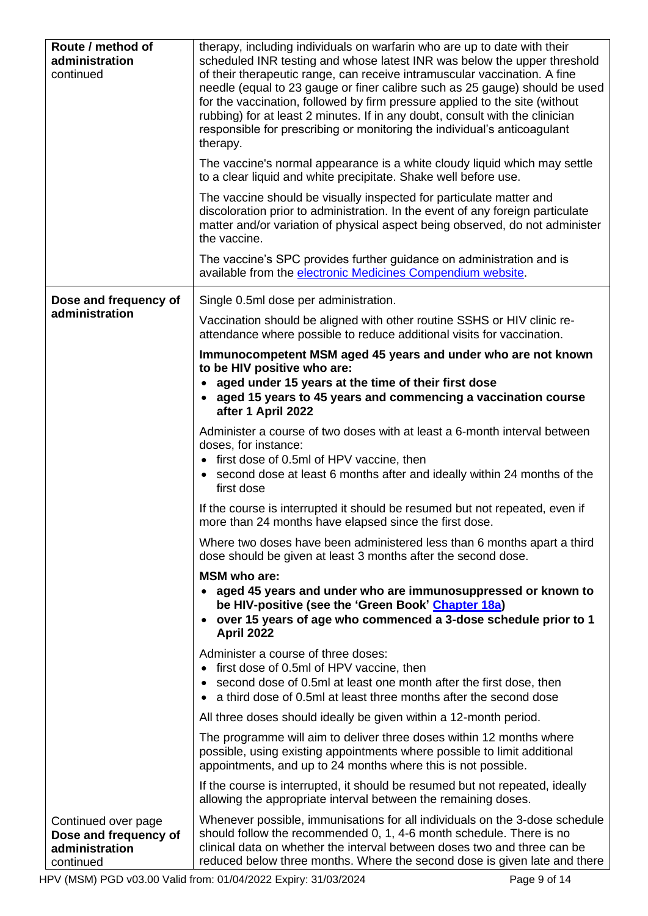<span id="page-8-0"></span>

| Route / method of<br>administration<br>continued                            | therapy, including individuals on warfarin who are up to date with their<br>scheduled INR testing and whose latest INR was below the upper threshold<br>of their therapeutic range, can receive intramuscular vaccination. A fine<br>needle (equal to 23 gauge or finer calibre such as 25 gauge) should be used<br>for the vaccination, followed by firm pressure applied to the site (without<br>rubbing) for at least 2 minutes. If in any doubt, consult with the clinician<br>responsible for prescribing or monitoring the individual's anticoagulant<br>therapy. |
|-----------------------------------------------------------------------------|-------------------------------------------------------------------------------------------------------------------------------------------------------------------------------------------------------------------------------------------------------------------------------------------------------------------------------------------------------------------------------------------------------------------------------------------------------------------------------------------------------------------------------------------------------------------------|
|                                                                             | The vaccine's normal appearance is a white cloudy liquid which may settle<br>to a clear liquid and white precipitate. Shake well before use.                                                                                                                                                                                                                                                                                                                                                                                                                            |
|                                                                             | The vaccine should be visually inspected for particulate matter and<br>discoloration prior to administration. In the event of any foreign particulate<br>matter and/or variation of physical aspect being observed, do not administer<br>the vaccine.                                                                                                                                                                                                                                                                                                                   |
|                                                                             | The vaccine's SPC provides further guidance on administration and is<br>available from the electronic Medicines Compendium website.                                                                                                                                                                                                                                                                                                                                                                                                                                     |
| Dose and frequency of                                                       | Single 0.5ml dose per administration.                                                                                                                                                                                                                                                                                                                                                                                                                                                                                                                                   |
| administration                                                              | Vaccination should be aligned with other routine SSHS or HIV clinic re-<br>attendance where possible to reduce additional visits for vaccination.                                                                                                                                                                                                                                                                                                                                                                                                                       |
|                                                                             | Immunocompetent MSM aged 45 years and under who are not known<br>to be HIV positive who are:                                                                                                                                                                                                                                                                                                                                                                                                                                                                            |
|                                                                             | aged under 15 years at the time of their first dose<br>aged 15 years to 45 years and commencing a vaccination course<br>after 1 April 2022                                                                                                                                                                                                                                                                                                                                                                                                                              |
|                                                                             | Administer a course of two doses with at least a 6-month interval between<br>doses, for instance:<br>• first dose of 0.5ml of HPV vaccine, then<br>second dose at least 6 months after and ideally within 24 months of the<br>first dose                                                                                                                                                                                                                                                                                                                                |
|                                                                             | If the course is interrupted it should be resumed but not repeated, even if<br>more than 24 months have elapsed since the first dose                                                                                                                                                                                                                                                                                                                                                                                                                                    |
|                                                                             | Where two doses have been administered less than 6 months apart a third<br>dose should be given at least 3 months after the second dose.                                                                                                                                                                                                                                                                                                                                                                                                                                |
|                                                                             | <b>MSM</b> who are:<br>• aged 45 years and under who are immunosuppressed or known to<br>be HIV-positive (see the 'Green Book' Chapter 18a)<br>over 15 years of age who commenced a 3-dose schedule prior to 1<br>April 2022                                                                                                                                                                                                                                                                                                                                            |
|                                                                             | Administer a course of three doses:<br>first dose of 0.5ml of HPV vaccine, then<br>second dose of 0.5ml at least one month after the first dose, then<br>a third dose of 0.5ml at least three months after the second dose                                                                                                                                                                                                                                                                                                                                              |
|                                                                             | All three doses should ideally be given within a 12-month period.                                                                                                                                                                                                                                                                                                                                                                                                                                                                                                       |
|                                                                             | The programme will aim to deliver three doses within 12 months where<br>possible, using existing appointments where possible to limit additional<br>appointments, and up to 24 months where this is not possible.                                                                                                                                                                                                                                                                                                                                                       |
|                                                                             | If the course is interrupted, it should be resumed but not repeated, ideally<br>allowing the appropriate interval between the remaining doses.                                                                                                                                                                                                                                                                                                                                                                                                                          |
| Continued over page<br>Dose and frequency of<br>administration<br>continued | Whenever possible, immunisations for all individuals on the 3-dose schedule<br>should follow the recommended 0, 1, 4-6 month schedule. There is no<br>clinical data on whether the interval between doses two and three can be<br>reduced below three months. Where the second dose is given late and there                                                                                                                                                                                                                                                             |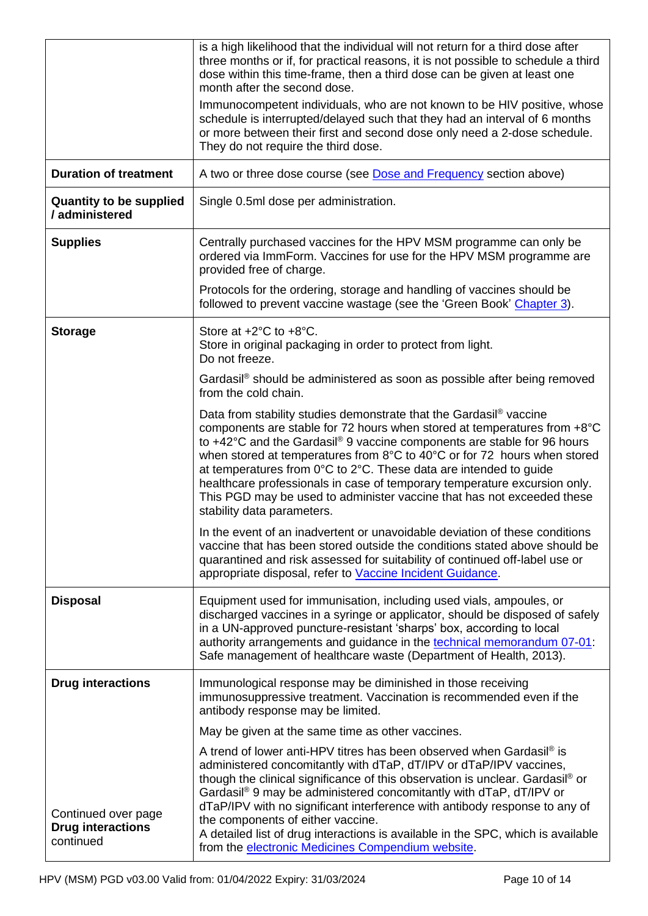<span id="page-9-0"></span>

|                                                              | is a high likelihood that the individual will not return for a third dose after<br>three months or if, for practical reasons, it is not possible to schedule a third<br>dose within this time-frame, then a third dose can be given at least one<br>month after the second dose.<br>Immunocompetent individuals, who are not known to be HIV positive, whose<br>schedule is interrupted/delayed such that they had an interval of 6 months<br>or more between their first and second dose only need a 2-dose schedule.                                                                |
|--------------------------------------------------------------|---------------------------------------------------------------------------------------------------------------------------------------------------------------------------------------------------------------------------------------------------------------------------------------------------------------------------------------------------------------------------------------------------------------------------------------------------------------------------------------------------------------------------------------------------------------------------------------|
|                                                              | They do not require the third dose.                                                                                                                                                                                                                                                                                                                                                                                                                                                                                                                                                   |
| <b>Duration of treatment</b>                                 | A two or three dose course (see Dose and Frequency section above)                                                                                                                                                                                                                                                                                                                                                                                                                                                                                                                     |
| <b>Quantity to be supplied</b><br>/ administered             | Single 0.5ml dose per administration.                                                                                                                                                                                                                                                                                                                                                                                                                                                                                                                                                 |
| <b>Supplies</b>                                              | Centrally purchased vaccines for the HPV MSM programme can only be<br>ordered via ImmForm. Vaccines for use for the HPV MSM programme are<br>provided free of charge.                                                                                                                                                                                                                                                                                                                                                                                                                 |
|                                                              | Protocols for the ordering, storage and handling of vaccines should be<br>followed to prevent vaccine wastage (see the 'Green Book' Chapter 3).                                                                                                                                                                                                                                                                                                                                                                                                                                       |
| <b>Storage</b>                                               | Store at $+2^{\circ}$ C to $+8^{\circ}$ C.<br>Store in original packaging in order to protect from light.<br>Do not freeze.                                                                                                                                                                                                                                                                                                                                                                                                                                                           |
|                                                              | Gardasil® should be administered as soon as possible after being removed<br>from the cold chain.                                                                                                                                                                                                                                                                                                                                                                                                                                                                                      |
|                                                              | Data from stability studies demonstrate that the Gardasil <sup>®</sup> vaccine<br>components are stable for 72 hours when stored at temperatures from +8°C<br>to +42°C and the Gardasil® 9 vaccine components are stable for 96 hours<br>when stored at temperatures from 8°C to 40°C or for 72 hours when stored<br>at temperatures from 0°C to 2°C. These data are intended to guide<br>healthcare professionals in case of temporary temperature excursion only.<br>This PGD may be used to administer vaccine that has not exceeded these<br>stability data parameters.           |
|                                                              | In the event of an inadvertent or unavoidable deviation of these conditions<br>vaccine that has been stored outside the conditions stated above should be<br>quarantined and risk assessed for suitability of continued off-label use or<br>appropriate disposal, refer to Vaccine Incident Guidance.                                                                                                                                                                                                                                                                                 |
| <b>Disposal</b>                                              | Equipment used for immunisation, including used vials, ampoules, or<br>discharged vaccines in a syringe or applicator, should be disposed of safely<br>in a UN-approved puncture-resistant 'sharps' box, according to local<br>authority arrangements and guidance in the technical memorandum 07-01:<br>Safe management of healthcare waste (Department of Health, 2013).                                                                                                                                                                                                            |
| <b>Drug interactions</b>                                     | Immunological response may be diminished in those receiving<br>immunosuppressive treatment. Vaccination is recommended even if the<br>antibody response may be limited.                                                                                                                                                                                                                                                                                                                                                                                                               |
|                                                              | May be given at the same time as other vaccines.                                                                                                                                                                                                                                                                                                                                                                                                                                                                                                                                      |
| Continued over page<br><b>Drug interactions</b><br>continued | A trend of lower anti-HPV titres has been observed when Gardasil <sup>®</sup> is<br>administered concomitantly with dTaP, dT/IPV or dTaP/IPV vaccines,<br>though the clinical significance of this observation is unclear. Gardasil <sup>®</sup> or<br>Gardasil® 9 may be administered concomitantly with dTaP, dT/IPV or<br>dTaP/IPV with no significant interference with antibody response to any of<br>the components of either vaccine.<br>A detailed list of drug interactions is available in the SPC, which is available<br>from the electronic Medicines Compendium website. |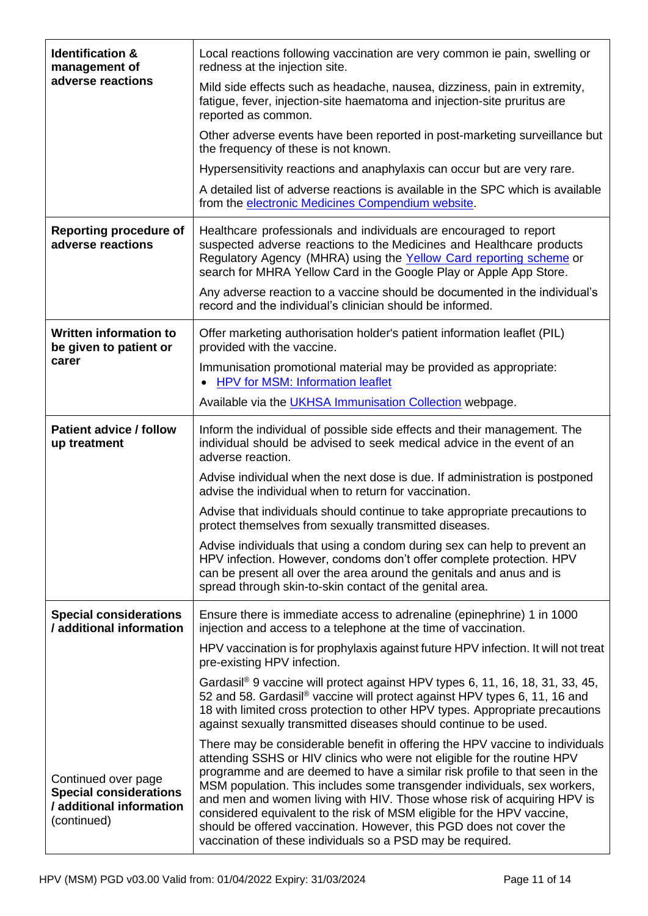| <b>Identification &amp;</b><br>management of                                                    | Local reactions following vaccination are very common ie pain, swelling or<br>redness at the injection site.                                                                                                                                                                                                                                                                                                                                                                                                                                                                                                 |  |  |
|-------------------------------------------------------------------------------------------------|--------------------------------------------------------------------------------------------------------------------------------------------------------------------------------------------------------------------------------------------------------------------------------------------------------------------------------------------------------------------------------------------------------------------------------------------------------------------------------------------------------------------------------------------------------------------------------------------------------------|--|--|
| adverse reactions                                                                               | Mild side effects such as headache, nausea, dizziness, pain in extremity,<br>fatigue, fever, injection-site haematoma and injection-site pruritus are<br>reported as common.                                                                                                                                                                                                                                                                                                                                                                                                                                 |  |  |
|                                                                                                 | Other adverse events have been reported in post-marketing surveillance but<br>the frequency of these is not known.                                                                                                                                                                                                                                                                                                                                                                                                                                                                                           |  |  |
|                                                                                                 | Hypersensitivity reactions and anaphylaxis can occur but are very rare.                                                                                                                                                                                                                                                                                                                                                                                                                                                                                                                                      |  |  |
|                                                                                                 | A detailed list of adverse reactions is available in the SPC which is available<br>from the electronic Medicines Compendium website.                                                                                                                                                                                                                                                                                                                                                                                                                                                                         |  |  |
| <b>Reporting procedure of</b><br>adverse reactions                                              | Healthcare professionals and individuals are encouraged to report<br>suspected adverse reactions to the Medicines and Healthcare products<br>Regulatory Agency (MHRA) using the Yellow Card reporting scheme or<br>search for MHRA Yellow Card in the Google Play or Apple App Store.                                                                                                                                                                                                                                                                                                                        |  |  |
|                                                                                                 | Any adverse reaction to a vaccine should be documented in the individual's<br>record and the individual's clinician should be informed.                                                                                                                                                                                                                                                                                                                                                                                                                                                                      |  |  |
| <b>Written information to</b><br>be given to patient or                                         | Offer marketing authorisation holder's patient information leaflet (PIL)<br>provided with the vaccine.                                                                                                                                                                                                                                                                                                                                                                                                                                                                                                       |  |  |
| carer                                                                                           | Immunisation promotional material may be provided as appropriate:<br>HPV for MSM: Information leaflet                                                                                                                                                                                                                                                                                                                                                                                                                                                                                                        |  |  |
|                                                                                                 | Available via the <b>UKHSA Immunisation Collection</b> webpage.                                                                                                                                                                                                                                                                                                                                                                                                                                                                                                                                              |  |  |
| <b>Patient advice / follow</b><br>up treatment                                                  | Inform the individual of possible side effects and their management. The<br>individual should be advised to seek medical advice in the event of an<br>adverse reaction.                                                                                                                                                                                                                                                                                                                                                                                                                                      |  |  |
|                                                                                                 | Advise individual when the next dose is due. If administration is postponed<br>advise the individual when to return for vaccination.                                                                                                                                                                                                                                                                                                                                                                                                                                                                         |  |  |
|                                                                                                 | Advise that individuals should continue to take appropriate precautions to<br>protect themselves from sexually transmitted diseases.                                                                                                                                                                                                                                                                                                                                                                                                                                                                         |  |  |
|                                                                                                 | Advise individuals that using a condom during sex can help to prevent an<br>HPV infection. However, condoms don't offer complete protection. HPV<br>can be present all over the area around the genitals and anus and is<br>spread through skin-to-skin contact of the genital area.                                                                                                                                                                                                                                                                                                                         |  |  |
| <b>Special considerations</b><br>/ additional information                                       | Ensure there is immediate access to adrenaline (epinephrine) 1 in 1000<br>injection and access to a telephone at the time of vaccination.                                                                                                                                                                                                                                                                                                                                                                                                                                                                    |  |  |
|                                                                                                 | HPV vaccination is for prophylaxis against future HPV infection. It will not treat<br>pre-existing HPV infection.                                                                                                                                                                                                                                                                                                                                                                                                                                                                                            |  |  |
|                                                                                                 | Gardasil <sup>®</sup> 9 vaccine will protect against HPV types 6, 11, 16, 18, 31, 33, 45,<br>52 and 58. Gardasil® vaccine will protect against HPV types 6, 11, 16 and<br>18 with limited cross protection to other HPV types. Appropriate precautions<br>against sexually transmitted diseases should continue to be used.                                                                                                                                                                                                                                                                                  |  |  |
| Continued over page<br><b>Special considerations</b><br>/ additional information<br>(continued) | There may be considerable benefit in offering the HPV vaccine to individuals<br>attending SSHS or HIV clinics who were not eligible for the routine HPV<br>programme and are deemed to have a similar risk profile to that seen in the<br>MSM population. This includes some transgender individuals, sex workers,<br>and men and women living with HIV. Those whose risk of acquiring HPV is<br>considered equivalent to the risk of MSM eligible for the HPV vaccine,<br>should be offered vaccination. However, this PGD does not cover the<br>vaccination of these individuals so a PSD may be required. |  |  |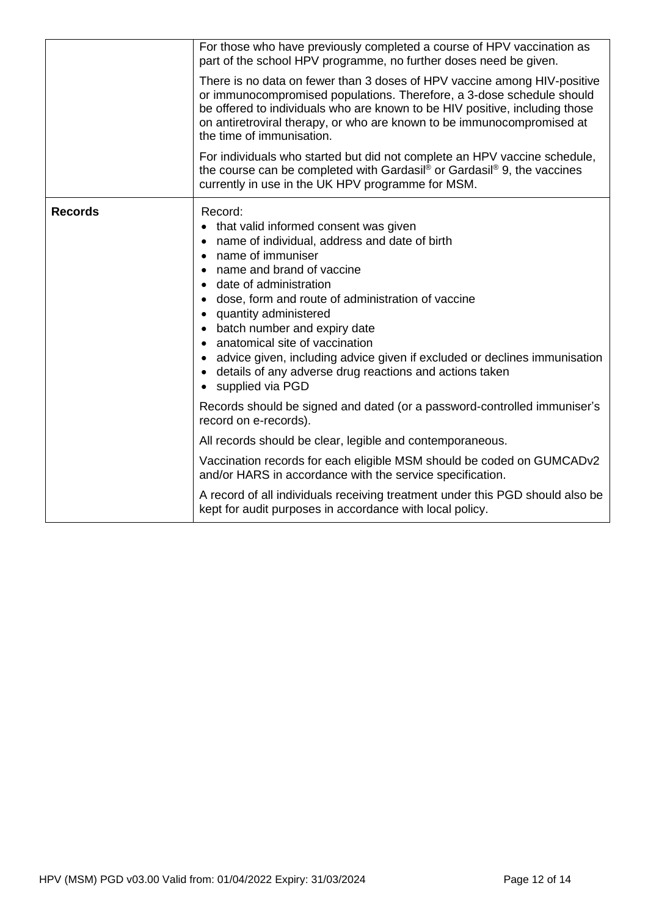|                | For those who have previously completed a course of HPV vaccination as<br>part of the school HPV programme, no further doses need be given.<br>There is no data on fewer than 3 doses of HPV vaccine among HIV-positive<br>or immunocompromised populations. Therefore, a 3-dose schedule should<br>be offered to individuals who are known to be HIV positive, including those<br>on antiretroviral therapy, or who are known to be immunocompromised at<br>the time of immunisation.                     |  |  |
|----------------|------------------------------------------------------------------------------------------------------------------------------------------------------------------------------------------------------------------------------------------------------------------------------------------------------------------------------------------------------------------------------------------------------------------------------------------------------------------------------------------------------------|--|--|
|                |                                                                                                                                                                                                                                                                                                                                                                                                                                                                                                            |  |  |
|                | For individuals who started but did not complete an HPV vaccine schedule,<br>the course can be completed with Gardasil® or Gardasil® 9, the vaccines<br>currently in use in the UK HPV programme for MSM.                                                                                                                                                                                                                                                                                                  |  |  |
| <b>Records</b> | Record:<br>that valid informed consent was given<br>name of individual, address and date of birth<br>name of immuniser<br>• name and brand of vaccine<br>• date of administration<br>dose, form and route of administration of vaccine<br>quantity administered<br>batch number and expiry date<br>anatomical site of vaccination<br>advice given, including advice given if excluded or declines immunisation<br>details of any adverse drug reactions and actions taken<br>supplied via PGD<br>$\bullet$ |  |  |
|                | Records should be signed and dated (or a password-controlled immuniser's<br>record on e-records).                                                                                                                                                                                                                                                                                                                                                                                                          |  |  |
|                | All records should be clear, legible and contemporaneous.                                                                                                                                                                                                                                                                                                                                                                                                                                                  |  |  |
|                | Vaccination records for each eligible MSM should be coded on GUMCADv2<br>and/or HARS in accordance with the service specification.                                                                                                                                                                                                                                                                                                                                                                         |  |  |
|                | A record of all individuals receiving treatment under this PGD should also be<br>kept for audit purposes in accordance with local policy.                                                                                                                                                                                                                                                                                                                                                                  |  |  |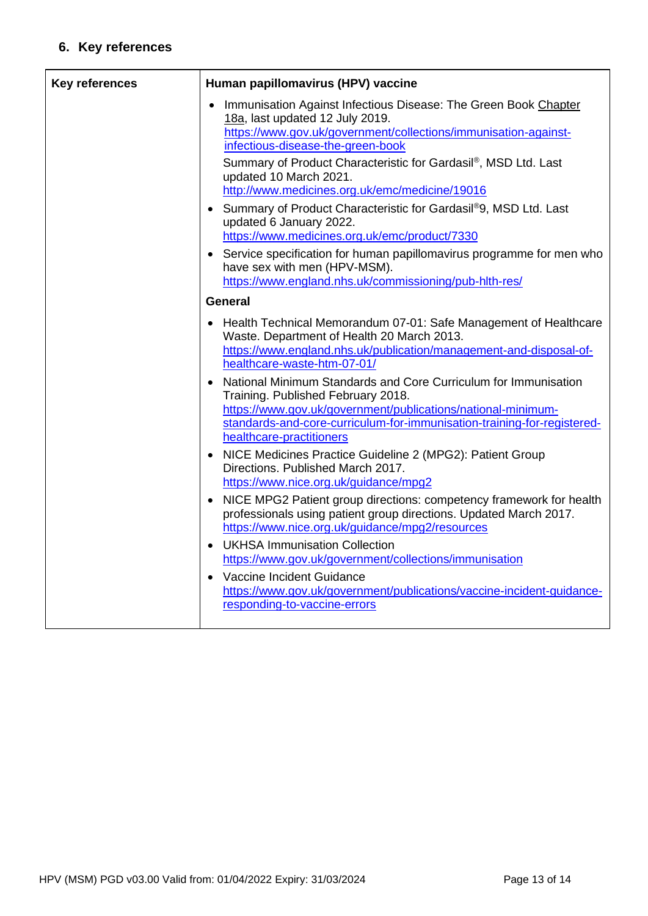## **6. Key references**

| <b>Key references</b> | Human papillomavirus (HPV) vaccine                                                                                                                                                                                                                                                                                                                       |  |
|-----------------------|----------------------------------------------------------------------------------------------------------------------------------------------------------------------------------------------------------------------------------------------------------------------------------------------------------------------------------------------------------|--|
|                       | Immunisation Against Infectious Disease: The Green Book Chapter<br>18a, last updated 12 July 2019.<br>https://www.gov.uk/government/collections/immunisation-against-<br>infectious-disease-the-green-book<br>Summary of Product Characteristic for Gardasil®, MSD Ltd. Last<br>updated 10 March 2021.<br>http://www.medicines.org.uk/emc/medicine/19016 |  |
|                       | • Summary of Product Characteristic for Gardasil®9, MSD Ltd. Last<br>updated 6 January 2022.<br>https://www.medicines.org.uk/emc/product/7330                                                                                                                                                                                                            |  |
|                       | • Service specification for human papillomavirus programme for men who<br>have sex with men (HPV-MSM).<br>https://www.england.nhs.uk/commissioning/pub-hlth-res/                                                                                                                                                                                         |  |
|                       | General                                                                                                                                                                                                                                                                                                                                                  |  |
|                       | Health Technical Memorandum 07-01: Safe Management of Healthcare<br>$\bullet$<br>Waste. Department of Health 20 March 2013.<br>https://www.england.nhs.uk/publication/management-and-disposal-of-<br>healthcare-waste-htm-07-01/                                                                                                                         |  |
|                       | National Minimum Standards and Core Curriculum for Immunisation<br>$\bullet$<br>Training. Published February 2018.<br>https://www.gov.uk/government/publications/national-minimum-<br>standards-and-core-curriculum-for-immunisation-training-for-registered-<br>healthcare-practitioners                                                                |  |
|                       | • NICE Medicines Practice Guideline 2 (MPG2): Patient Group<br>Directions. Published March 2017.<br>https://www.nice.org.uk/guidance/mpg2                                                                                                                                                                                                                |  |
|                       | NICE MPG2 Patient group directions: competency framework for health<br>professionals using patient group directions. Updated March 2017.<br>https://www.nice.org.uk/guidance/mpg2/resources                                                                                                                                                              |  |
|                       | <b>UKHSA Immunisation Collection</b><br>$\bullet$<br>https://www.gov.uk/government/collections/immunisation                                                                                                                                                                                                                                              |  |
|                       | Vaccine Incident Guidance<br>$\bullet$<br>https://www.gov.uk/government/publications/vaccine-incident-guidance-<br>responding-to-vaccine-errors                                                                                                                                                                                                          |  |